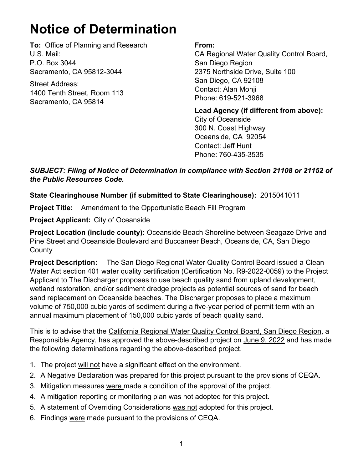## **Notice of Determination**

**To:** Office of Planning and Research U.S. Mail: P.O. Box 3044 Sacramento, CA 95812-3044

Street Address: 1400 Tenth Street, Room 113 Sacramento, CA 95814

## **From:**

CA Regional Water Quality Control Board, San Diego Region 2375 Northside Drive, Suite 100 San Diego, CA 92108 Contact: Alan Monji Phone: 619-521-3968

**Lead Agency (if different from above):** City of Oceanside 300 N. Coast Highway Oceanside, CA 92054 Contact: Jeff Hunt Phone: 760-435-3535

*SUBJECT: Filing of Notice of Determination in compliance with Section 21108 or 21152 of the Public Resources Code.*

## **State Clearinghouse Number (if submitted to State Clearinghouse):** 2015041011

**Project Title:** Amendment to the Opportunistic Beach Fill Program

**Project Applicant:** City of Oceanside

**Project Location (include county):** Oceanside Beach Shoreline between Seagaze Drive and Pine Street and Oceanside Boulevard and Buccaneer Beach, Oceanside, CA, San Diego **County** 

**Project Description:** The San Diego Regional Water Quality Control Board issued a Clean Water Act section 401 water quality certification (Certification No. R9-2022-0059) to the Project Applicant to The Discharger proposes to use beach quality sand from upland development, wetland restoration, and/or sediment dredge projects as potential sources of sand for beach sand replacement on Oceanside beaches. The Discharger proposes to place a maximum volume of 750,000 cubic yards of sediment during a five-year period of permit term with an annual maximum placement of 150,000 cubic yards of beach quality sand.

This is to advise that the California Regional Water Quality Control Board, San Diego Region, a Responsible Agency, has approved the above-described project on June 9, 2022 and has made the following determinations regarding the above-described project.

- 1. The project will not have a significant effect on the environment.
- 2. A Negative Declaration was prepared for this project pursuant to the provisions of CEQA.
- 3. Mitigation measures were made a condition of the approval of the project.
- 4. A mitigation reporting or monitoring plan was not adopted for this project.
- 5. A statement of Overriding Considerations was not adopted for this project.
- 6. Findings were made pursuant to the provisions of CEQA.